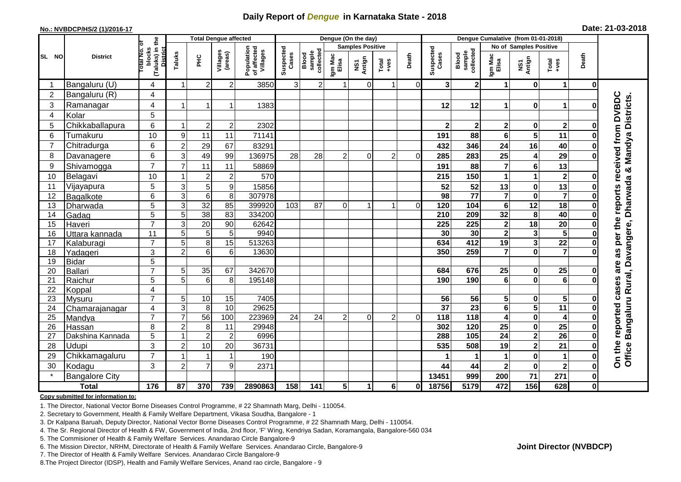## **Daily Report of** *Dengue* **in Karnataka State - 2018**

#### **No.: NVBDCP/HS/2 (1)/2016-17**

| Date: 21-03-2018 |  |  |  |  |
|------------------|--|--|--|--|
|------------------|--|--|--|--|

|                |                       |                                                           | <b>Total Dengue affected</b> |                     |                      | Dengue (On the day)                   |                    |                              |                  |                         |                                                              | Dengue Cumalative (from 01-01-2018) |                                   |                                   |                         |                                     |                                                                                                                                                                                                                                                                                                                                                                                                             |             |                                                                                    |
|----------------|-----------------------|-----------------------------------------------------------|------------------------------|---------------------|----------------------|---------------------------------------|--------------------|------------------------------|------------------|-------------------------|--------------------------------------------------------------|-------------------------------------|-----------------------------------|-----------------------------------|-------------------------|-------------------------------------|-------------------------------------------------------------------------------------------------------------------------------------------------------------------------------------------------------------------------------------------------------------------------------------------------------------------------------------------------------------------------------------------------------------|-------------|------------------------------------------------------------------------------------|
|                | <b>District</b>       | ō                                                         |                              |                     |                      |                                       |                    |                              |                  | <b>Samples Positive</b> |                                                              |                                     |                                   |                                   | No of Samples Positive  |                                     |                                                                                                                                                                                                                                                                                                                                                                                                             |             |                                                                                    |
| SL NO          |                       | (Taluks) in the<br>blocks<br>Total No.<br><b>District</b> | Taluks                       | ΞÉ                  | Villages<br>(areas)  | Population<br>of affected<br>Villages | Suspected<br>Cases | sample<br>collected<br>Blood | Igm Mac<br>Elisa | NS1<br>Antign           | $\begin{array}{c}\n\text{Total} \\ \text{+ves}\n\end{array}$ | Death                               | Suspected<br>Cases                | sample<br>collected<br>Blood      | Igm Mad<br>Elisa        | NS1<br>Antign                       | $\begin{array}{c}\n\text{Total} \\ \text{1-4} \\ \text{1-4} \\ \text{1-5} \\ \text{1-5} \\ \text{1-6} \\ \text{1-6} \\ \text{1-6} \\ \text{1-6} \\ \text{1-6} \\ \text{1-6} \\ \text{1-6} \\ \text{1-6} \\ \text{1-6} \\ \text{1-6} \\ \text{1-6} \\ \text{1-6} \\ \text{1-6} \\ \text{1-6} \\ \text{1-6} \\ \text{1-6} \\ \text{1-6} \\ \text{1-6} \\ \text{1-6} \\ \text{1-6} \\ \text{1-6} \\ \text{1-6$ | Death       |                                                                                    |
|                | Bangaluru (U)         | 4                                                         | -1                           | $\overline{2}$      | $\overline{c}$       | 3850                                  | 3                  | $\overline{2}$               | 1                | $\overline{0}$          | 1                                                            | $\overline{0}$                      | 3                                 | $\mathbf 2$                       | $\mathbf 1$             | $\mathbf 0$                         | 1                                                                                                                                                                                                                                                                                                                                                                                                           | 0           |                                                                                    |
| $\overline{2}$ | Bangaluru (R)         | 4                                                         |                              |                     |                      |                                       |                    |                              |                  |                         |                                                              |                                     |                                   |                                   |                         |                                     |                                                                                                                                                                                                                                                                                                                                                                                                             |             |                                                                                    |
| 3              | Ramanagar             | 4                                                         |                              |                     | 1                    | 1383                                  |                    |                              |                  |                         |                                                              |                                     | 12                                | 12                                | 1                       | $\bf{0}$                            | 1                                                                                                                                                                                                                                                                                                                                                                                                           |             | per the reports received from DVBDC                                                |
| $\overline{4}$ | Kolar                 | 5                                                         |                              |                     |                      |                                       |                    |                              |                  |                         |                                                              |                                     |                                   |                                   |                         |                                     |                                                                                                                                                                                                                                                                                                                                                                                                             |             |                                                                                    |
| 5              | Chikkaballapura       | $6\phantom{1}$                                            |                              | $\overline{2}$      | $\overline{c}$       | 2302                                  |                    |                              |                  |                         |                                                              |                                     | $\mathbf 2$                       | $\mathbf 2$                       | $\mathbf{2}$            | $\mathbf 0$                         | $\mathbf 2$                                                                                                                                                                                                                                                                                                                                                                                                 | ŋ           |                                                                                    |
| 6              | Tumakuru              | 10                                                        | 9                            | 11                  | 11                   | 71141                                 |                    |                              |                  |                         |                                                              |                                     | 191                               | 88                                | 6                       | 5                                   | 11                                                                                                                                                                                                                                                                                                                                                                                                          |             |                                                                                    |
| $\overline{7}$ | Chitradurga           | 6                                                         | $\overline{2}$               | 29                  | 67                   | 83291                                 |                    |                              |                  |                         |                                                              |                                     | 432                               | 346                               | 24                      | 16                                  | 40                                                                                                                                                                                                                                                                                                                                                                                                          |             |                                                                                    |
| 8              | Davanagere            | $6\phantom{1}$                                            | 3                            | 49                  | 99                   | 136975                                | 28                 | 28                           | $\overline{2}$   | $\Omega$                | 2                                                            | $\Omega$                            | 285                               | 283                               | 25                      | 4                                   | 29                                                                                                                                                                                                                                                                                                                                                                                                          |             |                                                                                    |
| 9              | Shivamogga            | $\overline{7}$                                            | $\overline{7}$               | 11                  | 11                   | 58869                                 |                    |                              |                  |                         |                                                              |                                     | 191                               | 88                                | $\overline{7}$          | $6\phantom{1}6$                     | 13                                                                                                                                                                                                                                                                                                                                                                                                          |             |                                                                                    |
| 10             | Belagavi              | 10                                                        |                              | $\overline{2}$      | $\overline{c}$       | 570                                   |                    |                              |                  |                         |                                                              |                                     | 215                               | 150                               | 1                       | 1                                   | $\overline{2}$                                                                                                                                                                                                                                                                                                                                                                                              |             |                                                                                    |
| 11             | Vijayapura            | 5                                                         | $\mathbf{3}$                 | 5                   | 9                    | 15856                                 |                    |                              |                  |                         |                                                              |                                     | 52                                | 52                                | 13                      | $\bf{0}$                            | 13                                                                                                                                                                                                                                                                                                                                                                                                          |             |                                                                                    |
| 12             | Bagalkote             | 6                                                         | 3                            | 6                   | 8                    | 307978                                |                    |                              |                  |                         |                                                              |                                     | $\overline{98}$                   | $\overline{77}$                   | $\overline{7}$          | $\bf{0}$                            | $\overline{7}$                                                                                                                                                                                                                                                                                                                                                                                              |             |                                                                                    |
| 13             | Dharwada              | $\overline{5}$                                            | $\mathbf{3}$                 | $\overline{32}$     | 85                   | 399920                                | 103                | 87                           | $\Omega$         | $\blacktriangleleft$    | $\mathbf{1}$                                                 | $\Omega$                            | 120                               | 104                               | $6\phantom{1}$          | $\overline{12}$                     | $\overline{18}$                                                                                                                                                                                                                                                                                                                                                                                             |             |                                                                                    |
| 14             | Gadag                 | 5                                                         | 5                            | 38                  | 83                   | 334200                                |                    |                              |                  |                         |                                                              |                                     | 210                               | 209                               | 32                      | 8                                   | 40                                                                                                                                                                                                                                                                                                                                                                                                          |             |                                                                                    |
| 15             | Haveri                | $\overline{7}$                                            | 3                            | 20                  | 90                   | 62642                                 |                    |                              |                  |                         |                                                              |                                     | $\overline{225}$                  | 225                               | $\mathbf 2$             | $\overline{18}$                     | $\overline{20}$                                                                                                                                                                                                                                                                                                                                                                                             |             |                                                                                    |
| 16             | Uttara kannada        | 11                                                        | 5                            | 5                   | 5                    | 9940                                  |                    |                              |                  |                         |                                                              |                                     | 30                                | $\overline{30}$                   | $\overline{\mathbf{c}}$ | $\overline{\mathbf{3}}$             | 5                                                                                                                                                                                                                                                                                                                                                                                                           |             |                                                                                    |
| 17             | Kalaburagi            | $\overline{7}$                                            | 5                            | 8                   | 15                   | 513263                                |                    |                              |                  |                         |                                                              |                                     | 634                               | 412                               | 19                      | $\mathbf{3}$                        | $\overline{22}$                                                                                                                                                                                                                                                                                                                                                                                             |             |                                                                                    |
| 18             | Yadageri              | 3                                                         | $\overline{2}$               | 6                   | 6                    | 13630                                 |                    |                              |                  |                         |                                                              |                                     | 350                               | 259                               | $\overline{7}$          | $\bf{0}$                            | $\overline{7}$                                                                                                                                                                                                                                                                                                                                                                                              |             | as                                                                                 |
| 19             | <b>Bidar</b>          | $\overline{5}$                                            |                              |                     |                      |                                       |                    |                              |                  |                         |                                                              |                                     |                                   |                                   |                         |                                     |                                                                                                                                                                                                                                                                                                                                                                                                             |             | are                                                                                |
| 20             | Ballari               | $\overline{7}$                                            | 5                            | 35                  | 67                   | 342670                                |                    |                              |                  |                         |                                                              |                                     | 684                               | 676                               | 25                      | $\mathbf 0$                         | 25                                                                                                                                                                                                                                                                                                                                                                                                          |             |                                                                                    |
| 21             | Raichur               | 5                                                         | 5                            | 6                   | 8                    | 195148                                |                    |                              |                  |                         |                                                              |                                     | 190                               | 190                               | $6\phantom{1}$          | $\mathbf 0$                         | $\overline{6}$                                                                                                                                                                                                                                                                                                                                                                                              |             | cases                                                                              |
| 22             | Koppal                | $\overline{4}$                                            |                              |                     |                      |                                       |                    |                              |                  |                         |                                                              |                                     |                                   |                                   |                         |                                     |                                                                                                                                                                                                                                                                                                                                                                                                             |             |                                                                                    |
| 23             | Mysuru                | $\overline{7}$                                            | 5                            | $10$                | 15                   | 7405                                  |                    |                              |                  |                         |                                                              |                                     | $\overline{56}$                   | 56                                | 5                       | $\mathbf 0$                         | $5\phantom{.0}$                                                                                                                                                                                                                                                                                                                                                                                             |             |                                                                                    |
| 24             | Chamarajanagar        | $\overline{4}$<br>$\overline{7}$                          | 3<br>$\overline{7}$          | 8                   | 10<br>100            | 29625                                 |                    |                              |                  | $\Omega$                | $\overline{2}$                                               | $\Omega$                            | $\overline{37}$<br>$\frac{1}{18}$ | $\overline{23}$<br>$\frac{1}{18}$ | $\overline{\mathbf{6}}$ | $\overline{\mathbf{5}}$             | $\overline{11}$                                                                                                                                                                                                                                                                                                                                                                                             |             |                                                                                    |
| 25             | Mandya                |                                                           |                              | $\overline{56}$     |                      | 223969                                | 24                 | 24                           | 2 <sup>1</sup>   |                         |                                                              |                                     |                                   |                                   | 4                       | $\mathbf 0$                         | 4                                                                                                                                                                                                                                                                                                                                                                                                           |             |                                                                                    |
| 26             | Hassan                | 8<br>5                                                    | $\overline{2}$               | 8<br>$\overline{2}$ | 11<br>$\overline{2}$ | 29948<br>6996                         |                    |                              |                  |                         |                                                              |                                     | 302<br>288                        | 120<br>105                        | 25<br>$\overline{24}$   | $\bf{0}$<br>$\overline{\mathbf{2}}$ | 25<br>26                                                                                                                                                                                                                                                                                                                                                                                                    |             |                                                                                    |
| 27             | Dakshina Kannada      | 3                                                         |                              |                     |                      |                                       |                    |                              |                  |                         |                                                              |                                     |                                   |                                   |                         |                                     |                                                                                                                                                                                                                                                                                                                                                                                                             |             |                                                                                    |
| 28             | Udupi                 | $\overline{7}$                                            | $\overline{2}$               | 10                  | 20                   | 36731                                 |                    |                              |                  |                         |                                                              |                                     | 535                               | 508                               | 19                      | $\overline{\mathbf{2}}$             | 21                                                                                                                                                                                                                                                                                                                                                                                                          |             |                                                                                    |
| 29             | Chikkamagaluru        |                                                           |                              | 7                   | 1                    | 190                                   |                    |                              |                  |                         |                                                              |                                     |                                   | -1                                | 1                       | $\bf{0}$                            | 1                                                                                                                                                                                                                                                                                                                                                                                                           | O           | Office Bangaluru Rural, Davangere, Dharwada & Mandya Districts.<br>On the reported |
| 30             | Kodagu                | 3                                                         | $\overline{2}$               |                     | 9                    | 2371                                  |                    |                              |                  |                         |                                                              |                                     | 44                                | 44                                | $\mathbf{2}$            | $\bf{0}$                            | $\overline{\mathbf{2}}$                                                                                                                                                                                                                                                                                                                                                                                     | O           |                                                                                    |
|                | <b>Bangalore City</b> |                                                           |                              |                     |                      |                                       |                    |                              |                  |                         |                                                              |                                     | 13451                             | 999                               | 200                     | 71                                  | 271                                                                                                                                                                                                                                                                                                                                                                                                         | 0           |                                                                                    |
|                | <b>Total</b>          | 176                                                       | 87                           | 370                 | 739                  | 2890863                               | 158                | 141                          | 5 <sup>1</sup>   |                         | 6                                                            | 0                                   | 18756                             | 5179                              | 472                     | 156                                 | 628                                                                                                                                                                                                                                                                                                                                                                                                         | $\mathbf 0$ |                                                                                    |

#### **Copy submitted for information to:**

1. The Director, National Vector Borne Diseases Control Programme, # 22 Shamnath Marg, Delhi - 110054.

2. Secretary to Government, Health & Family Welfare Department, Vikasa Soudha, Bangalore - 1

3. Dr Kalpana Baruah, Deputy Director, National Vector Borne Diseases Control Programme, # 22 Shamnath Marg, Delhi - 110054.

- 4. The Sr. Regional Director of Health & FW, Government of India, 2nd floor, 'F' Wing, Kendriya Sadan, Koramangala, Bangalore-560 034
- 5. The Commisioner of Health & Family Welfare Services. Anandarao Circle Bangalore-9
- 6. The Mission Director, NRHM, Directorate of Health & Family Welfare Services. Anandarao Circle, Bangalore-9

7. The Director of Health & Family Welfare Services. Anandarao Circle Bangalore-9

8. The Project Director (IDSP), Health and Family Welfare Services, Anand rao circle, Bangalore - 9